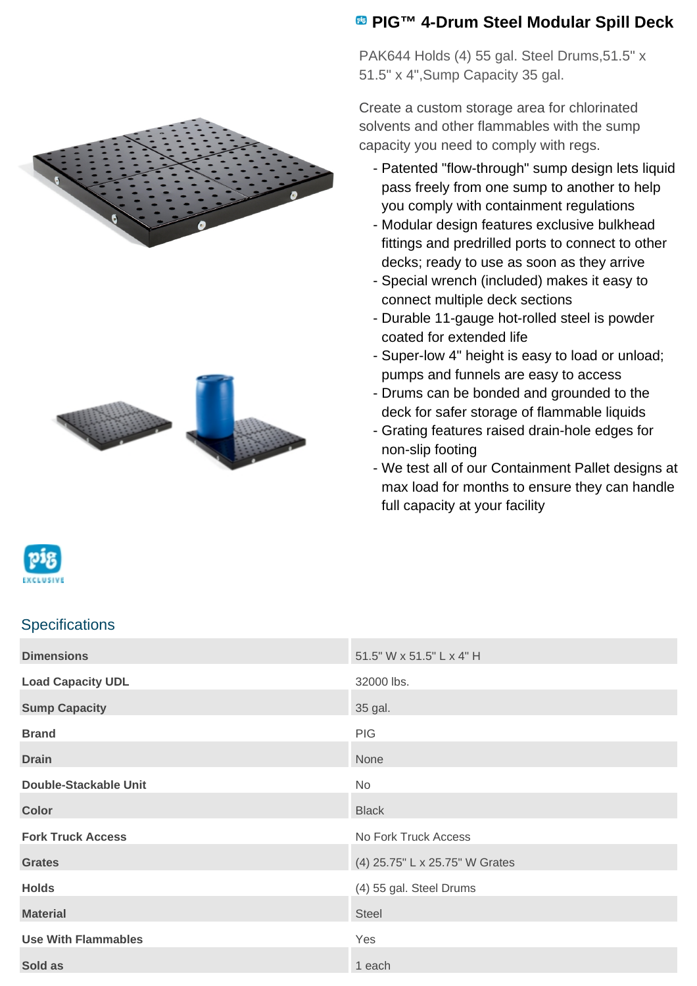



## **PIG™ 4-Drum Steel Modular Spill Deck**

PAK644 Holds (4) 55 gal. Steel Drums,51.5" x 51.5" x 4",Sump Capacity 35 gal.

Create a custom storage area for chlorinated solvents and other flammables with the sump capacity you need to comply with regs.

- Patented "flow-through" sump design lets liquid pass freely from one sump to another to help you comply with containment regulations
- Modular design features exclusive bulkhead fittings and predrilled ports to connect to other decks; ready to use as soon as they arrive
- Special wrench (included) makes it easy to connect multiple deck sections
- Durable 11-gauge hot-rolled steel is powder coated for extended life
- Super-low 4" height is easy to load or unload; pumps and funnels are easy to access
- Drums can be bonded and grounded to the deck for safer storage of flammable liquids
- Grating features raised drain-hole edges for non-slip footing
- We test all of our Containment Pallet designs at max load for months to ensure they can handle full capacity at your facility

## **Specifications**

| <b>Dimensions</b>            | 51.5" W x 51.5" L x 4" H       |
|------------------------------|--------------------------------|
| <b>Load Capacity UDL</b>     | 32000 lbs.                     |
| <b>Sump Capacity</b>         | 35 gal.                        |
| <b>Brand</b>                 | <b>PIG</b>                     |
| <b>Drain</b>                 | None                           |
| <b>Double-Stackable Unit</b> | No                             |
| <b>Color</b>                 | <b>Black</b>                   |
| <b>Fork Truck Access</b>     | No Fork Truck Access           |
| <b>Grates</b>                | (4) 25.75" L x 25.75" W Grates |
| <b>Holds</b>                 | (4) 55 gal. Steel Drums        |
| <b>Material</b>              | <b>Steel</b>                   |
| <b>Use With Flammables</b>   | Yes                            |
| Sold as                      | 1 each                         |